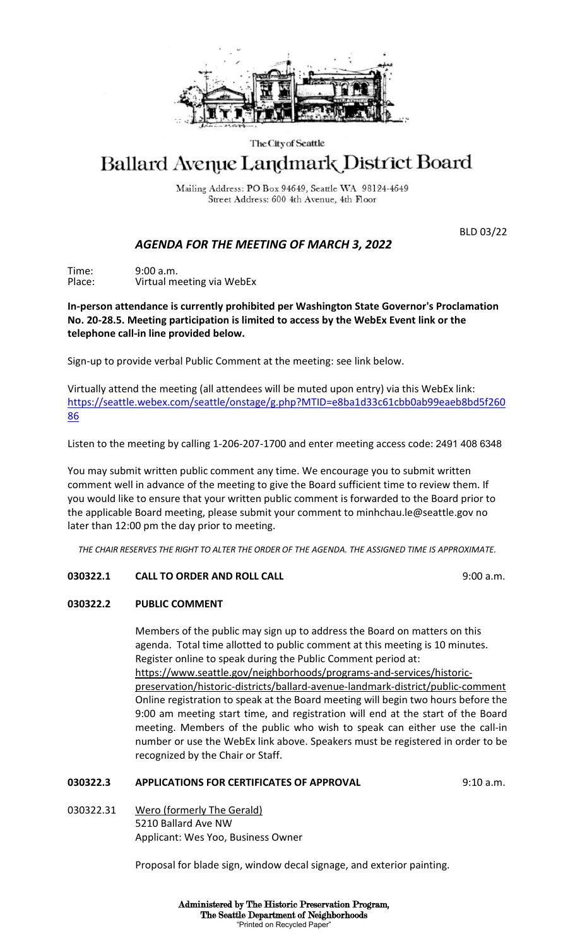

#### The City of Seattle

# Ballard Avenue Landmark District Board

Mailing Address: PO Box 94649, Seattle WA 98124-4649 Street Address: 600 4th Avenue, 4th Floor

BLD 03/22

# *AGENDA FOR THE MEETING OF MARCH 3, 2022*

Time: 9:00 a.m. Place: Virtual meeting via WebEx

**In-person attendance is currently prohibited per Washington State Governor's Proclamation No. 20-28.5. Meeting participation is limited to access by the WebEx Event link or the telephone call-in line provided below.** 

Sign-up to provide verbal Public Comment at the meeting: see link below.

Virtually attend the meeting (all attendees will be muted upon entry) via this WebEx link: [https://seattle.webex.com/seattle/onstage/g.php?MTID=e8ba1d33c61cbb0ab99eaeb8bd5f260](https://seattle.webex.com/seattle/onstage/g.php?MTID=e8ba1d33c61cbb0ab99eaeb8bd5f26086) [86](https://seattle.webex.com/seattle/onstage/g.php?MTID=e8ba1d33c61cbb0ab99eaeb8bd5f26086)

Listen to the meeting by calling 1-206-207-1700 and enter meeting access code: 2491 408 6348

You may submit written public comment any time. We encourage you to submit written comment well in advance of the meeting to give the Board sufficient time to review them. If you would like to ensure that your written public comment is forwarded to the Board prior to the applicable Board meeting, please submit your comment to minhchau.le@seattle.gov no later than 12:00 pm the day prior to meeting.

*THE CHAIR RESERVES THE RIGHT TO ALTER THE ORDER OF THE AGENDA. THE ASSIGNED TIME IS APPROXIMATE.*

## **030322.1 CALL TO ORDER AND ROLL CALL** 9:00 a.m.

## **030322.2 PUBLIC COMMENT**

Members of the public may sign up to address the Board on matters on this agenda. Total time allotted to public comment at this meeting is 10 minutes. Register online to speak during the Public Comment period at: https://www.seattle.gov/neighborhoods/programs-and-services/historicpreservation/historic-districts/ballard-avenue-landmark-district/public-comment Online registration to speak at the Board meeting will begin two hours before the 9:00 am meeting start time, and registration will end at the start of the Board meeting. Members of the public who wish to speak can either use the call-in number or use the WebEx link above. Speakers must be registered in order to be recognized by the Chair or Staff.

## **030322.3 APPLICATIONS FOR CERTIFICATES OF APPROVAL** 9:10 a.m.

030322.31 Wero (formerly The Gerald) 5210 Ballard Ave NW Applicant: Wes Yoo, Business Owner

Proposal for blade sign, window decal signage, and exterior painting.